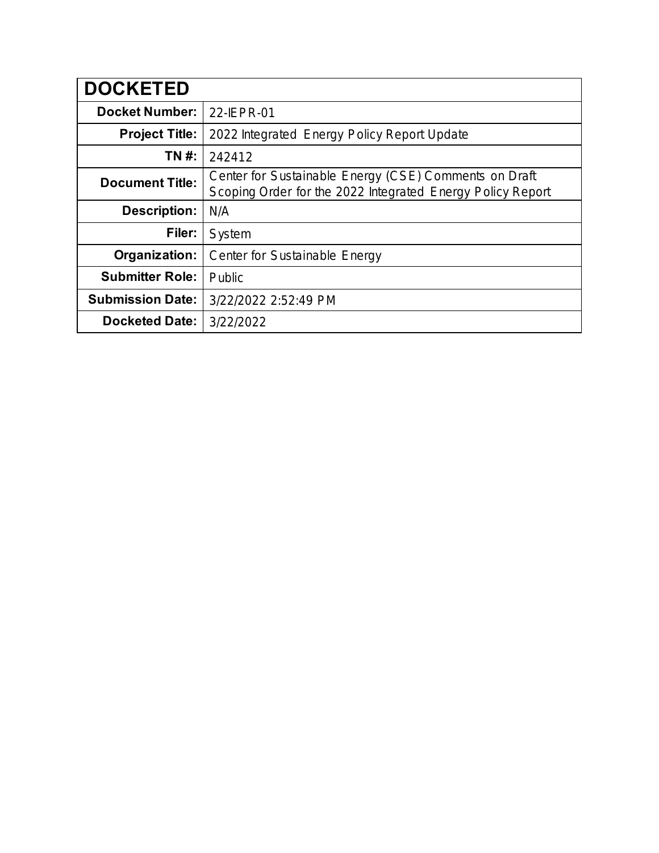| <b>DOCKETED</b>         |                                                                                                                     |
|-------------------------|---------------------------------------------------------------------------------------------------------------------|
| <b>Docket Number:</b>   | 22-IEPR-01                                                                                                          |
| <b>Project Title:</b>   | 2022 Integrated Energy Policy Report Update                                                                         |
| TN #:                   | 242412                                                                                                              |
| <b>Document Title:</b>  | Center for Sustainable Energy (CSE) Comments on Draft<br>Scoping Order for the 2022 Integrated Energy Policy Report |
| <b>Description:</b>     | N/A                                                                                                                 |
| Filer:                  | System                                                                                                              |
| Organization:           | Center for Sustainable Energy                                                                                       |
| <b>Submitter Role:</b>  | Public                                                                                                              |
| <b>Submission Date:</b> | 3/22/2022 2:52:49 PM                                                                                                |
| <b>Docketed Date:</b>   | 3/22/2022                                                                                                           |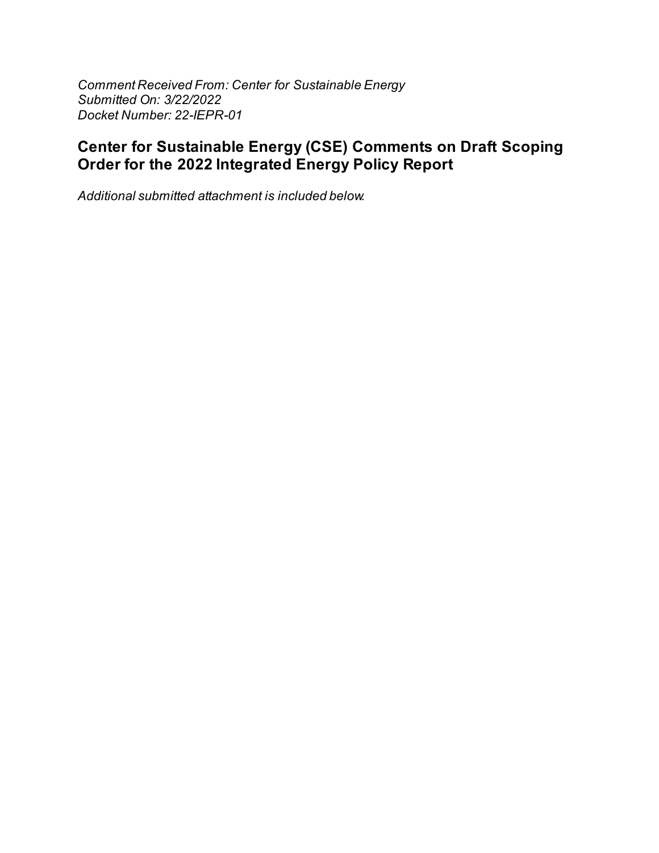Comment Received From: Center for Sustainable Energy Submitted On: 3/22/2022 Docket Number: 22-IEPR-01

# **Center for Sustainable Energy (CSE) Comments on Draft Scoping** Order for the 2022 Integrated Energy Policy Report

Additional submitted attachment is included below.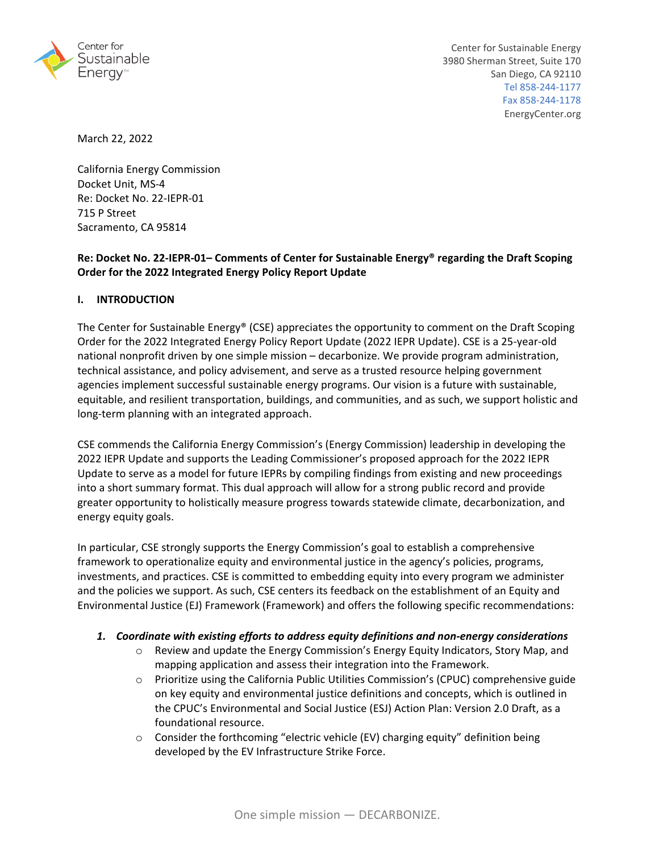

March 22, 2022

California Energy Commission Docket Unit, MS‐4 Re: Docket No. 22‐IEPR‐01 715 P Street Sacramento, CA 95814

# **Re: Docket No. 22‐IEPR‐01– Comments of Center for Sustainable Energy® regarding the Draft Scoping Order for the 2022 Integrated Energy Policy Report Update**

## **I. INTRODUCTION**

The Center for Sustainable Energy® (CSE) appreciates the opportunity to comment on the Draft Scoping Order for the 2022 Integrated Energy Policy Report Update (2022 IEPR Update). CSE is a 25‐year‐old national nonprofit driven by one simple mission – decarbonize. We provide program administration, technical assistance, and policy advisement, and serve as a trusted resource helping government agencies implement successful sustainable energy programs. Our vision is a future with sustainable, equitable, and resilient transportation, buildings, and communities, and as such, we support holistic and long‐term planning with an integrated approach.

CSE commends the California Energy Commission's (Energy Commission) leadership in developing the 2022 IEPR Update and supports the Leading Commissioner's proposed approach for the 2022 IEPR Update to serve as a model for future IEPRs by compiling findings from existing and new proceedings into a short summary format. This dual approach will allow for a strong public record and provide greater opportunity to holistically measure progress towards statewide climate, decarbonization, and energy equity goals.

In particular, CSE strongly supports the Energy Commission's goal to establish a comprehensive framework to operationalize equity and environmental justice in the agency's policies, programs, investments, and practices. CSE is committed to embedding equity into every program we administer and the policies we support. As such, CSE centers its feedback on the establishment of an Equity and Environmental Justice (EJ) Framework (Framework) and offers the following specific recommendations:

## *1. Coordinate with existing efforts to address equity definitions and non‐energy considerations*

- o Review and update the Energy Commission's Energy Equity Indicators, Story Map, and mapping application and assess their integration into the Framework.
- o Prioritize using the California Public Utilities Commission's (CPUC) comprehensive guide on key equity and environmental justice definitions and concepts, which is outlined in the CPUC's Environmental and Social Justice (ESJ) Action Plan: Version 2.0 Draft, as a foundational resource.
- $\circ$  Consider the forthcoming "electric vehicle (EV) charging equity" definition being developed by the EV Infrastructure Strike Force.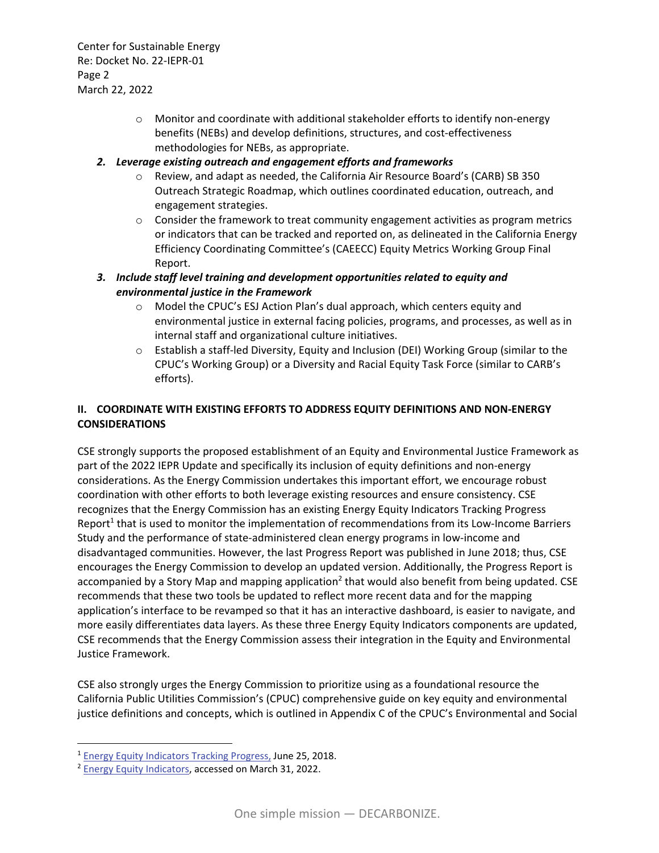Center for Sustainable Energy Re: Docket No. 22‐IEPR‐01 Page 2 March 22, 2022

- o Monitor and coordinate with additional stakeholder efforts to identify non‐energy benefits (NEBs) and develop definitions, structures, and cost-effectiveness methodologies for NEBs, as appropriate.
- *2. Leverage existing outreach and engagement efforts and frameworks*
	- o Review, and adapt as needed, the California Air Resource Board's (CARB) SB 350 Outreach Strategic Roadmap, which outlines coordinated education, outreach, and engagement strategies.
	- $\circ$  Consider the framework to treat community engagement activities as program metrics or indicators that can be tracked and reported on, as delineated in the California Energy Efficiency Coordinating Committee's (CAEECC) Equity Metrics Working Group Final Report.
- *3. Include staff level training and development opportunities related to equity and environmental justice in the Framework*
	- o Model the CPUC's ESJ Action Plan's dual approach, which centers equity and environmental justice in external facing policies, programs, and processes, as well as in internal staff and organizational culture initiatives.
	- o Establish a staff‐led Diversity, Equity and Inclusion (DEI) Working Group (similar to the CPUC's Working Group) or a Diversity and Racial Equity Task Force (similar to CARB's efforts).

# **II. COORDINATE WITH EXISTING EFFORTS TO ADDRESS EQUITY DEFINITIONS AND NON‐ENERGY CONSIDERATIONS**

CSE strongly supports the proposed establishment of an Equity and Environmental Justice Framework as part of the 2022 IEPR Update and specifically its inclusion of equity definitions and non‐energy considerations. As the Energy Commission undertakes this important effort, we encourage robust coordination with other efforts to both leverage existing resources and ensure consistency. CSE recognizes that the Energy Commission has an existing Energy Equity Indicators Tracking Progress Report<sup>1</sup> that is used to monitor the implementation of recommendations from its Low-Income Barriers Study and the performance of state‐administered clean energy programs in low‐income and disadvantaged communities. However, the last Progress Report was published in June 2018; thus, CSE encourages the Energy Commission to develop an updated version. Additionally, the Progress Report is accompanied by a Story Map and mapping application<sup>2</sup> that would also benefit from being updated. CSE recommends that these two tools be updated to reflect more recent data and for the mapping application's interface to be revamped so that it has an interactive dashboard, is easier to navigate, and more easily differentiates data layers. As these three Energy Equity Indicators components are updated, CSE recommends that the Energy Commission assess their integration in the Equity and Environmental Justice Framework.

CSE also strongly urges the Energy Commission to prioritize using as a foundational resource the California Public Utilities Commission's (CPUC) comprehensive guide on key equity and environmental justice definitions and concepts, which is outlined in Appendix C of the CPUC's Environmental and Social

<sup>1</sup> Energy Equity Indicators Tracking Progress, June 25, 2018.

<sup>2</sup> Energy Equity Indicators, accessed on March 31, 2022.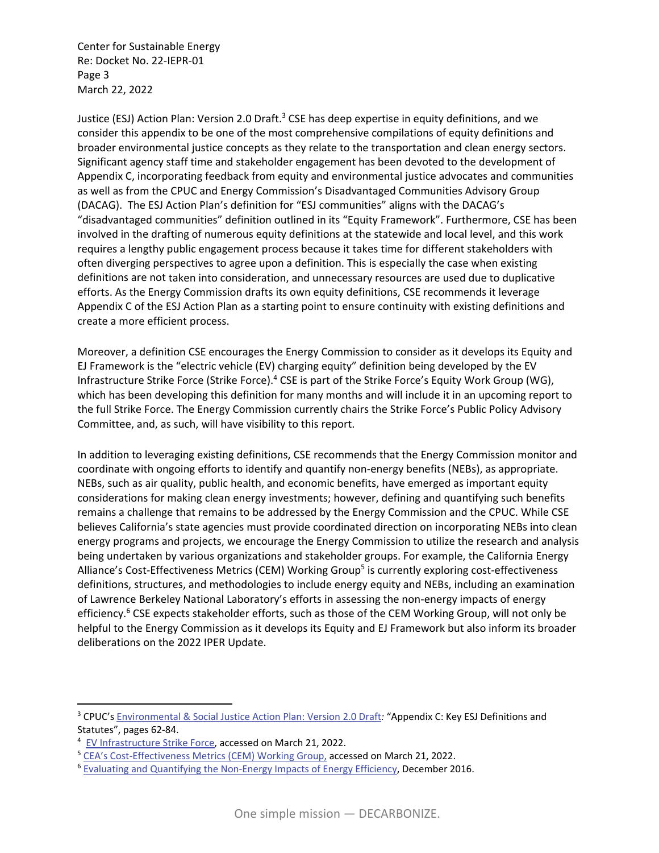Center for Sustainable Energy Re: Docket No. 22‐IEPR‐01 Page 3 March 22, 2022

Justice (ESJ) Action Plan: Version 2.0 Draft.<sup>3</sup> CSE has deep expertise in equity definitions, and we consider this appendix to be one of the most comprehensive compilations of equity definitions and broader environmental justice concepts as they relate to the transportation and clean energy sectors. Significant agency staff time and stakeholder engagement has been devoted to the development of Appendix C, incorporating feedback from equity and environmental justice advocates and communities as well as from the CPUC and Energy Commission's Disadvantaged Communities Advisory Group (DACAG). The ESJ Action Plan's definition for "ESJ communities" aligns with the DACAG's "disadvantaged communities" definition outlined in its "Equity Framework". Furthermore, CSE has been involved in the drafting of numerous equity definitions at the statewide and local level, and this work requires a lengthy public engagement process because it takes time for different stakeholders with often diverging perspectives to agree upon a definition. This is especially the case when existing definitions are not taken into consideration, and unnecessary resources are used due to duplicative efforts. As the Energy Commission drafts its own equity definitions, CSE recommends it leverage Appendix C of the ESJ Action Plan as a starting point to ensure continuity with existing definitions and create a more efficient process.

Moreover, a definition CSE encourages the Energy Commission to consider as it develops its Equity and EJ Framework is the "electric vehicle (EV) charging equity" definition being developed by the EV Infrastructure Strike Force (Strike Force).<sup>4</sup> CSE is part of the Strike Force's Equity Work Group (WG), which has been developing this definition for many months and will include it in an upcoming report to the full Strike Force. The Energy Commission currently chairs the Strike Force's Public Policy Advisory Committee, and, as such, will have visibility to this report.

In addition to leveraging existing definitions, CSE recommends that the Energy Commission monitor and coordinate with ongoing efforts to identify and quantify non‐energy benefits (NEBs), as appropriate. NEBs, such as air quality, public health, and economic benefits, have emerged as important equity considerations for making clean energy investments; however, defining and quantifying such benefits remains a challenge that remains to be addressed by the Energy Commission and the CPUC. While CSE believes California's state agencies must provide coordinated direction on incorporating NEBs into clean energy programs and projects, we encourage the Energy Commission to utilize the research and analysis being undertaken by various organizations and stakeholder groups. For example, the California Energy Alliance's Cost‐Effectiveness Metrics (CEM) Working Group<sup>5</sup> is currently exploring cost‐effectiveness definitions, structures, and methodologies to include energy equity and NEBs, including an examination of Lawrence Berkeley National Laboratory's efforts in assessing the non‐energy impacts of energy efficiency.<sup>6</sup> CSE expects stakeholder efforts, such as those of the CEM Working Group, will not only be helpful to the Energy Commission as it develops its Equity and EJ Framework but also inform its broader deliberations on the 2022 IPER Update.

<sup>3</sup> CPUC's Environmental & Social Justice Action Plan: Version 2.0 Draft*:* "Appendix C: Key ESJ Definitions and Statutes", pages 62‐84.

<sup>&</sup>lt;sup>4</sup> EV Infrastructure Strike Force, accessed on March 21, 2022.

<sup>&</sup>lt;sup>5</sup> CEA's Cost-Effectiveness Metrics (CEM) Working Group, accessed on March 21, 2022.

<sup>&</sup>lt;sup>6</sup> Evaluating and Quantifying the Non-Energy Impacts of Energy Efficiency, December 2016.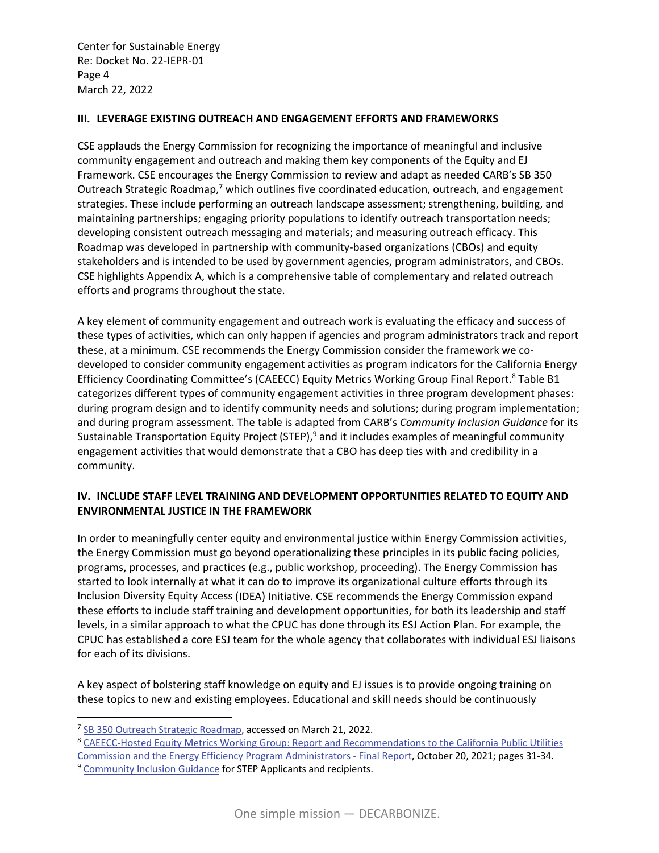Center for Sustainable Energy Re: Docket No. 22‐IEPR‐01 Page 4 March 22, 2022

## **III. LEVERAGE EXISTING OUTREACH AND ENGAGEMENT EFFORTS AND FRAMEWORKS**

CSE applauds the Energy Commission for recognizing the importance of meaningful and inclusive community engagement and outreach and making them key components of the Equity and EJ Framework. CSE encourages the Energy Commission to review and adapt as needed CARB's SB 350 Outreach Strategic Roadmap,<sup>7</sup> which outlines five coordinated education, outreach, and engagement strategies. These include performing an outreach landscape assessment; strengthening, building, and maintaining partnerships; engaging priority populations to identify outreach transportation needs; developing consistent outreach messaging and materials; and measuring outreach efficacy. This Roadmap was developed in partnership with community‐based organizations (CBOs) and equity stakeholders and is intended to be used by government agencies, program administrators, and CBOs. CSE highlights Appendix A, which is a comprehensive table of complementary and related outreach efforts and programs throughout the state.

A key element of community engagement and outreach work is evaluating the efficacy and success of these types of activities, which can only happen if agencies and program administrators track and report these, at a minimum. CSE recommends the Energy Commission consider the framework we co‐ developed to consider community engagement activities as program indicators for the California Energy Efficiency Coordinating Committee's (CAEECC) Equity Metrics Working Group Final Report.<sup>8</sup> Table B1 categorizes different types of community engagement activities in three program development phases: during program design and to identify community needs and solutions; during program implementation; and during program assessment. The table is adapted from CARB's *Community Inclusion Guidance* for its Sustainable Transportation Equity Project (STEP),<sup>9</sup> and it includes examples of meaningful community engagement activities that would demonstrate that a CBO has deep ties with and credibility in a community.

# **IV. INCLUDE STAFF LEVEL TRAINING AND DEVELOPMENT OPPORTUNITIES RELATED TO EQUITY AND ENVIRONMENTAL JUSTICE IN THE FRAMEWORK**

In order to meaningfully center equity and environmental justice within Energy Commission activities, the Energy Commission must go beyond operationalizing these principles in its public facing policies, programs, processes, and practices (e.g., public workshop, proceeding). The Energy Commission has started to look internally at what it can do to improve its organizational culture efforts through its Inclusion Diversity Equity Access (IDEA) Initiative. CSE recommends the Energy Commission expand these efforts to include staff training and development opportunities, for both its leadership and staff levels, in a similar approach to what the CPUC has done through its ESJ Action Plan. For example, the CPUC has established a core ESJ team for the whole agency that collaborates with individual ESJ liaisons for each of its divisions.

A key aspect of bolstering staff knowledge on equity and EJ issues is to provide ongoing training on these topics to new and existing employees. Educational and skill needs should be continuously

<sup>&</sup>lt;sup>7</sup> SB 350 Outreach Strategic Roadmap, accessed on March 21, 2022.

<sup>8</sup> CAEECC-Hosted Equity Metrics Working Group: Report and Recommendations to the California Public Utilities Commission and the Energy Efficiency Program Administrators ‐ Final Report, October 20, 2021; pages 31‐34.

<sup>&</sup>lt;sup>9</sup> Community Inclusion Guidance for STEP Applicants and recipients.